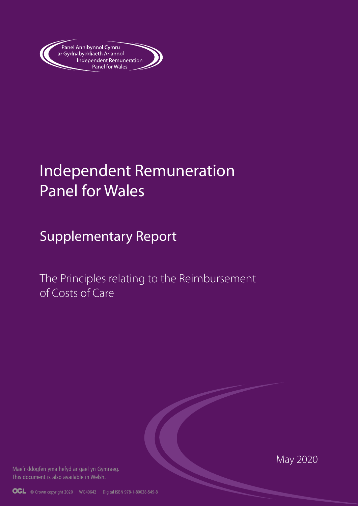

# Independent Remuneration Panel for Wales

Supplementary Report

The Principles relating to the Reimbursement of Costs of Care

Mae'r ddogfen yma hefyd ar gael yn Gymraeg. This document is also available in Welsh.

May 2020

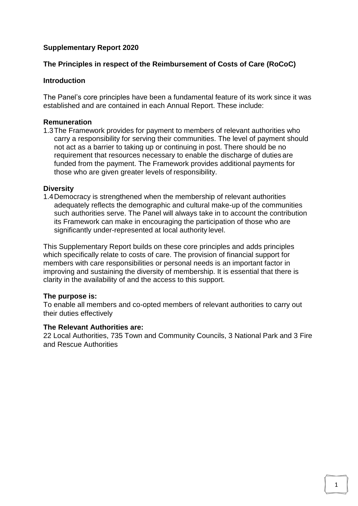## **Supplementary Report 2020**

### **The Principles in respect of the Reimbursement of Costs of Care (RoCoC)**

#### **Introduction**

The Panel's core principles have been a fundamental feature of its work since it was established and are contained in each Annual Report. These include:

#### **Remuneration**

1.3The Framework provides for payment to members of relevant authorities who carry a responsibility for serving their communities. The level of payment should not act as a barrier to taking up or continuing in post. There should be no requirement that resources necessary to enable the discharge of duties are funded from the payment. The Framework provides additional payments for those who are given greater levels of responsibility.

#### **Diversity**

1.4Democracy is strengthened when the membership of relevant authorities adequately reflects the demographic and cultural make-up of the communities such authorities serve. The Panel will always take in to account the contribution its Framework can make in encouraging the participation of those who are significantly under-represented at local authority level.

This Supplementary Report builds on these core principles and adds principles which specifically relate to costs of care. The provision of financial support for members with care responsibilities or personal needs is an important factor in improving and sustaining the diversity of membership. It is essential that there is clarity in the availability of and the access to this support.

#### **The purpose is:**

To enable all members and co-opted members of relevant authorities to carry out their duties effectively

#### **The Relevant Authorities are:**

22 Local Authorities, 735 Town and Community Councils, 3 National Park and 3 Fire and Rescue Authorities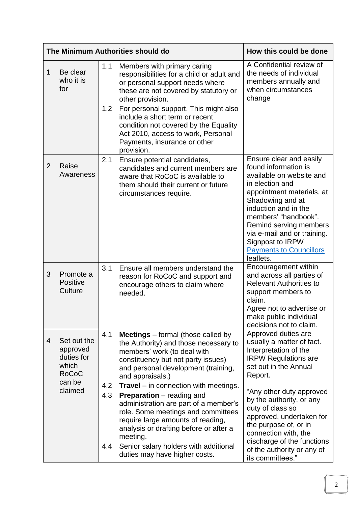| The Minimum Authorities should do                                                        | How this could be done                                                                                                                                                                                                                                                                                                                                                                                                                                                                                                                                      |                                                                                                                                                                                                                                                                                                                                                                   |
|------------------------------------------------------------------------------------------|-------------------------------------------------------------------------------------------------------------------------------------------------------------------------------------------------------------------------------------------------------------------------------------------------------------------------------------------------------------------------------------------------------------------------------------------------------------------------------------------------------------------------------------------------------------|-------------------------------------------------------------------------------------------------------------------------------------------------------------------------------------------------------------------------------------------------------------------------------------------------------------------------------------------------------------------|
| Be clear<br>1<br>who it is<br>for                                                        | Members with primary caring<br>1.1<br>responsibilities for a child or adult and<br>or personal support needs where<br>these are not covered by statutory or<br>other provision.<br>For personal support. This might also<br>1.2<br>include a short term or recent<br>condition not covered by the Equality<br>Act 2010, access to work, Personal<br>Payments, insurance or other                                                                                                                                                                            | A Confidential review of<br>the needs of individual<br>members annually and<br>when circumstances<br>change                                                                                                                                                                                                                                                       |
|                                                                                          | provision.                                                                                                                                                                                                                                                                                                                                                                                                                                                                                                                                                  |                                                                                                                                                                                                                                                                                                                                                                   |
| $\overline{2}$<br>Raise<br>Awareness                                                     | 2.1<br>Ensure potential candidates,<br>candidates and current members are<br>aware that RoCoC is available to<br>them should their current or future<br>circumstances require.                                                                                                                                                                                                                                                                                                                                                                              | Ensure clear and easily<br>found information is<br>available on website and<br>in election and<br>appointment materials, at<br>Shadowing and at<br>induction and in the<br>members' "handbook".<br>Remind serving members<br>via e-mail and or training.<br>Signpost to IRPW<br><b>Payments to Councillors</b><br>leaflets.                                       |
| 3<br>Promote a<br>Positive<br>Culture                                                    | 3.1<br>Ensure all members understand the<br>reason for RoCoC and support and<br>encourage others to claim where<br>needed.                                                                                                                                                                                                                                                                                                                                                                                                                                  | Encouragement within<br>and across all parties of<br><b>Relevant Authorities to</b><br>support members to<br>claim.<br>Agree not to advertise or<br>make public individual<br>decisions not to claim.                                                                                                                                                             |
| 4<br>Set out the<br>approved<br>duties for<br>which<br><b>RoCoC</b><br>can be<br>claimed | 4.1<br><b>Meetings</b> $-$ formal (those called by<br>the Authority) and those necessary to<br>members' work (to deal with<br>constituency but not party issues)<br>and personal development (training,<br>and appraisals.)<br>$\textsf{Travel}$ – in connection with meetings.<br>4.2<br>4.3<br><b>Preparation</b> – reading and<br>administration are part of a member's<br>role. Some meetings and committees<br>require large amounts of reading,<br>analysis or drafting before or after a<br>meeting.<br>Senior salary holders with additional<br>4.4 | Approved duties are<br>usually a matter of fact.<br>Interpretation of the<br><b>IRPW Regulations are</b><br>set out in the Annual<br>Report.<br>"Any other duty approved<br>by the authority, or any<br>duty of class so<br>approved, undertaken for<br>the purpose of, or in<br>connection with, the<br>discharge of the functions<br>of the authority or any of |
|                                                                                          | duties may have higher costs.                                                                                                                                                                                                                                                                                                                                                                                                                                                                                                                               | its committees."                                                                                                                                                                                                                                                                                                                                                  |